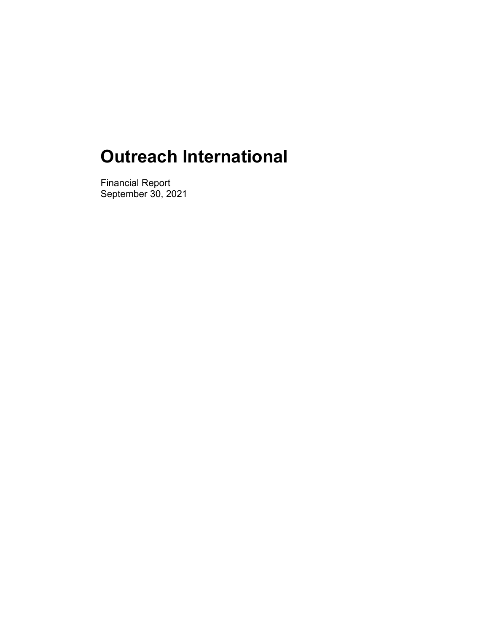Financial Report September 30, 2021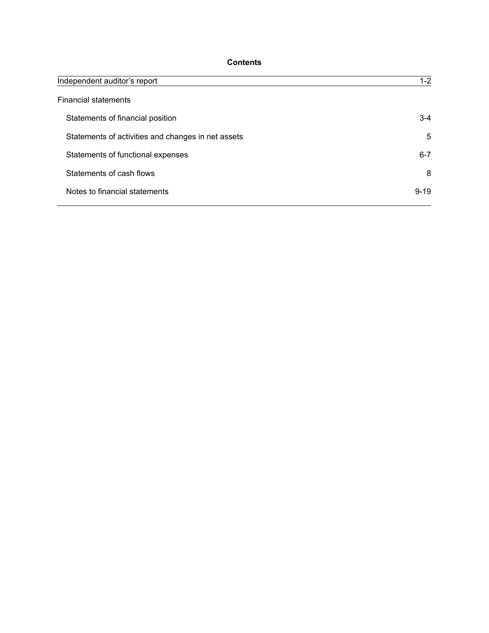# **Contents**

| $1 - 2$  |
|----------|
|          |
| $3-4$    |
| 5        |
| $6 - 7$  |
| 8        |
| $9 - 19$ |
|          |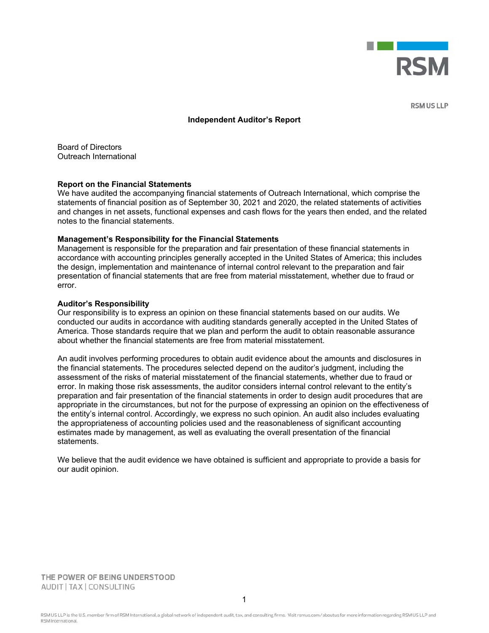

**RSM US LLP** 

#### **Independent Auditor's Report**

Board of Directors Outreach International

#### **Report on the Financial Statements**

We have audited the accompanying financial statements of Outreach International, which comprise the statements of financial position as of September 30, 2021 and 2020, the related statements of activities and changes in net assets, functional expenses and cash flows for the years then ended, and the related notes to the financial statements.

#### **Management's Responsibility for the Financial Statements**

Management is responsible for the preparation and fair presentation of these financial statements in accordance with accounting principles generally accepted in the United States of America; this includes the design, implementation and maintenance of internal control relevant to the preparation and fair presentation of financial statements that are free from material misstatement, whether due to fraud or error.

#### **Auditor's Responsibility**

Our responsibility is to express an opinion on these financial statements based on our audits. We conducted our audits in accordance with auditing standards generally accepted in the United States of America. Those standards require that we plan and perform the audit to obtain reasonable assurance about whether the financial statements are free from material misstatement.

An audit involves performing procedures to obtain audit evidence about the amounts and disclosures in the financial statements. The procedures selected depend on the auditor's judgment, including the assessment of the risks of material misstatement of the financial statements, whether due to fraud or error. In making those risk assessments, the auditor considers internal control relevant to the entity's preparation and fair presentation of the financial statements in order to design audit procedures that are appropriate in the circumstances, but not for the purpose of expressing an opinion on the effectiveness of the entity's internal control. Accordingly, we express no such opinion. An audit also includes evaluating the appropriateness of accounting policies used and the reasonableness of significant accounting estimates made by management, as well as evaluating the overall presentation of the financial statements.

We believe that the audit evidence we have obtained is sufficient and appropriate to provide a basis for our audit opinion.

THE POWER OF BEING UNDERSTOOD AUDIT | TAX | CONSULTING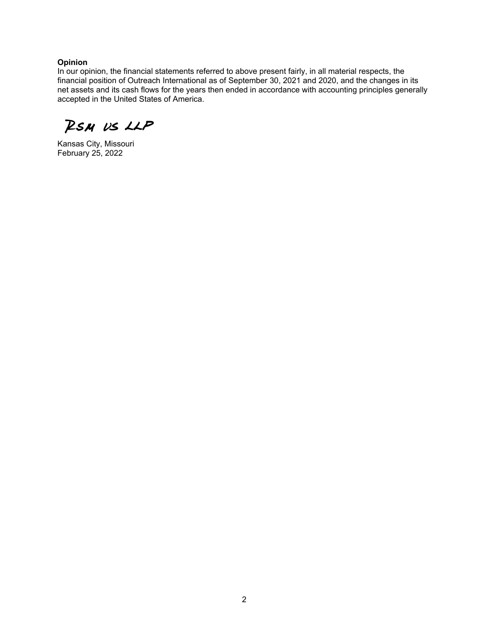## **Opinion**

In our opinion, the financial statements referred to above present fairly, in all material respects, the financial position of Outreach International as of September 30, 2021 and 2020, and the changes in its net assets and its cash flows for the years then ended in accordance with accounting principles generally accepted in the United States of America.

RSM US LLP

Kansas City, Missouri February 25, 2022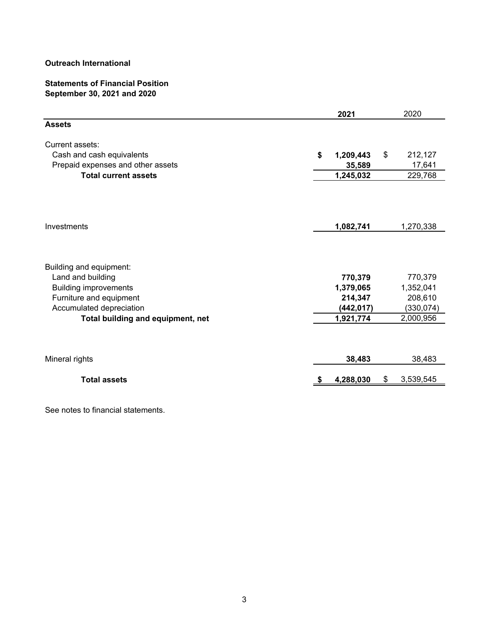# **Statements of Financial Position September 30, 2021 and 2020**

|                                                                                                         | 2021                            | 2020 |                                 |  |  |  |
|---------------------------------------------------------------------------------------------------------|---------------------------------|------|---------------------------------|--|--|--|
| <b>Assets</b>                                                                                           |                                 |      |                                 |  |  |  |
| Current assets:                                                                                         |                                 |      |                                 |  |  |  |
| Cash and cash equivalents                                                                               | \$<br>1,209,443                 | \$   | 212,127                         |  |  |  |
| Prepaid expenses and other assets                                                                       | 35,589                          |      | 17,641                          |  |  |  |
| <b>Total current assets</b>                                                                             | 1,245,032                       |      | 229,768                         |  |  |  |
|                                                                                                         |                                 |      |                                 |  |  |  |
| Investments                                                                                             | 1,082,741                       |      | 1,270,338                       |  |  |  |
| Building and equipment:<br>Land and building<br><b>Building improvements</b><br>Furniture and equipment | 770,379<br>1,379,065<br>214,347 |      | 770,379<br>1,352,041<br>208,610 |  |  |  |
| Accumulated depreciation                                                                                | (442, 017)                      |      | (330, 074)                      |  |  |  |
| Total building and equipment, net                                                                       | 1,921,774                       |      | 2,000,956                       |  |  |  |
| Mineral rights                                                                                          | 38,483                          |      | 38,483                          |  |  |  |
| <b>Total assets</b>                                                                                     | 4,288,030                       | \$   | 3,539,545                       |  |  |  |
|                                                                                                         |                                 |      |                                 |  |  |  |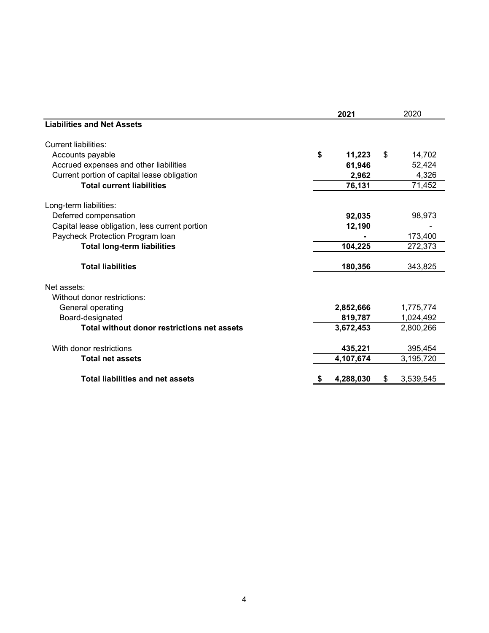|                                                | 2021         |    | 2020      |
|------------------------------------------------|--------------|----|-----------|
| <b>Liabilities and Net Assets</b>              |              |    |           |
| <b>Current liabilities:</b>                    |              |    |           |
| Accounts payable                               | \$<br>11,223 | \$ | 14,702    |
| Accrued expenses and other liabilities         | 61,946       |    | 52,424    |
| Current portion of capital lease obligation    | 2,962        |    | 4,326     |
| <b>Total current liabilities</b>               | 76,131       |    | 71,452    |
| Long-term liabilities:                         |              |    |           |
| Deferred compensation                          | 92,035       |    | 98,973    |
| Capital lease obligation, less current portion | 12,190       |    |           |
| Paycheck Protection Program loan               |              |    | 173,400   |
| <b>Total long-term liabilities</b>             | 104,225      |    | 272,373   |
| <b>Total liabilities</b>                       | 180,356      |    | 343,825   |
| Net assets:                                    |              |    |           |
| Without donor restrictions:                    |              |    |           |
| General operating                              | 2,852,666    |    | 1,775,774 |
| Board-designated                               | 819,787      |    | 1,024,492 |
| Total without donor restrictions net assets    | 3,672,453    |    | 2,800,266 |
| With donor restrictions                        | 435,221      |    | 395,454   |
| <b>Total net assets</b>                        | 4,107,674    |    | 3,195,720 |
|                                                |              |    |           |
| <b>Total liabilities and net assets</b>        | 4,288,030    | S  | 3,539,545 |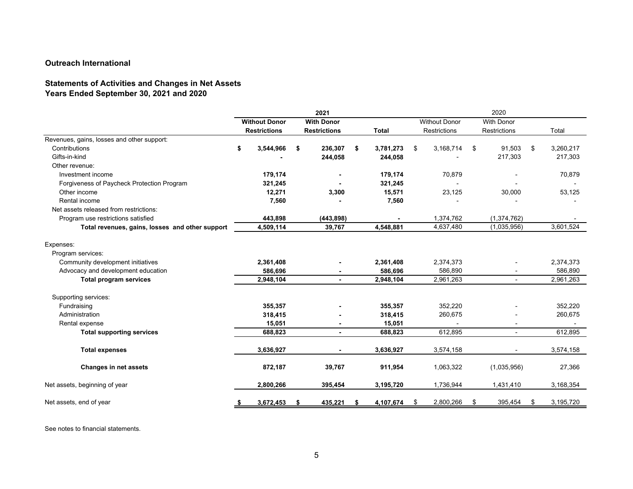# **Statements of Activities and Changes in Net Assets Years Ended September 30, 2021 and 2020**

|                                                 | 2021 |                      |    |                     |  | 2020           |                      |    |                     |    |           |
|-------------------------------------------------|------|----------------------|----|---------------------|--|----------------|----------------------|----|---------------------|----|-----------|
|                                                 |      | <b>Without Donor</b> |    | <b>With Donor</b>   |  |                | <b>Without Donor</b> |    | <b>With Donor</b>   |    |           |
|                                                 |      | <b>Restrictions</b>  |    | <b>Restrictions</b> |  | <b>Total</b>   | Restrictions         |    | <b>Restrictions</b> |    | Total     |
| Revenues, gains, losses and other support:      |      |                      |    |                     |  |                |                      |    |                     |    |           |
| Contributions                                   | \$   | 3,544,966            | \$ | 236,307<br>\$       |  | 3,781,273      | \$<br>3,168,714      | \$ | 91,503              | \$ | 3,260,217 |
| Gifts-in-kind                                   |      |                      |    | 244,058             |  | 244,058        |                      |    | 217,303             |    | 217,303   |
| Other revenue:                                  |      |                      |    |                     |  |                |                      |    |                     |    |           |
| Investment income                               |      | 179,174              |    |                     |  | 179,174        | 70,879               |    |                     |    | 70,879    |
| Forgiveness of Paycheck Protection Program      |      | 321,245              |    |                     |  | 321,245        | $\overline{a}$       |    |                     |    |           |
| Other income                                    |      | 12,271               |    | 3.300               |  | 15,571         | 23,125               |    | 30,000              |    | 53,125    |
| Rental income                                   |      | 7,560                |    |                     |  | 7,560          |                      |    |                     |    |           |
| Net assets released from restrictions:          |      |                      |    |                     |  |                |                      |    |                     |    |           |
| Program use restrictions satisfied              |      | 443,898              |    | (443, 898)          |  | $\blacksquare$ | 1,374,762            |    | (1, 374, 762)       |    |           |
| Total revenues, gains, losses and other support |      | 4,509,114            |    | 39,767              |  | 4,548,881      | 4,637,480            |    | (1,035,956)         |    | 3,601,524 |
| Expenses:                                       |      |                      |    |                     |  |                |                      |    |                     |    |           |
| Program services:                               |      |                      |    |                     |  |                |                      |    |                     |    |           |
| Community development initiatives               |      | 2,361,408            |    |                     |  | 2,361,408      | 2,374,373            |    |                     |    | 2,374,373 |
| Advocacy and development education              |      | 586,696              |    |                     |  | 586,696        | 586,890              |    |                     |    | 586,890   |
| <b>Total program services</b>                   |      | 2,948,104            |    |                     |  | 2,948,104      | 2,961,263            |    |                     |    | 2,961,263 |
| Supporting services:                            |      |                      |    |                     |  |                |                      |    |                     |    |           |
| Fundraising                                     |      | 355,357              |    |                     |  | 355,357        | 352,220              |    |                     |    | 352,220   |
| Administration                                  |      | 318,415              |    |                     |  | 318,415        | 260,675              |    |                     |    | 260,675   |
| Rental expense                                  |      | 15,051               |    |                     |  | 15,051         |                      |    |                     |    |           |
| <b>Total supporting services</b>                |      | 688,823              |    |                     |  | 688,823        | 612,895              |    |                     |    | 612,895   |
| <b>Total expenses</b>                           |      | 3,636,927            |    |                     |  | 3,636,927      | 3,574,158            |    |                     |    | 3,574,158 |
|                                                 |      |                      |    |                     |  |                |                      |    |                     |    |           |
| Changes in net assets                           |      | 872,187              |    | 39,767              |  | 911,954        | 1,063,322            |    | (1,035,956)         |    | 27,366    |
| Net assets, beginning of year                   |      | 2,800,266            |    | 395,454             |  | 3,195,720      | 1,736,944            |    | 1,431,410           |    | 3,168,354 |
| Net assets, end of year                         |      | 3,672,453            |    | 435,221<br>S        |  | 4,107,674      | \$<br>2,800,266      | \$ | 395,454<br>-S       |    | 3,195,720 |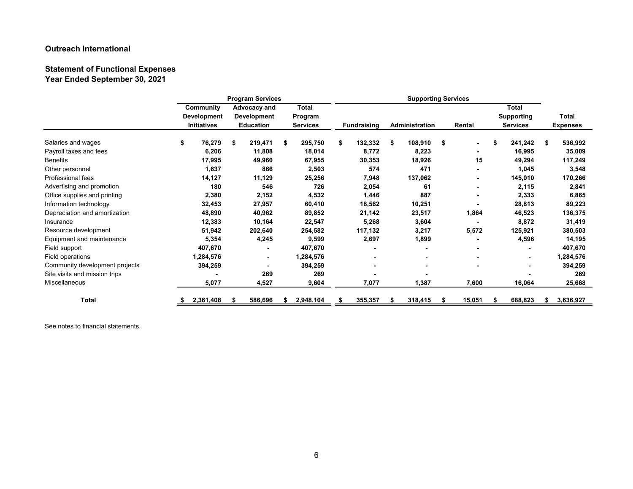#### **Statement of Functional Expenses Year Ended September 30, 2021**

|                                |                    |    | <b>Program Services</b> |    |                 | <b>Supporting Services</b>           |         |                           |         |    |                |                 |              |       |           |
|--------------------------------|--------------------|----|-------------------------|----|-----------------|--------------------------------------|---------|---------------------------|---------|----|----------------|-----------------|--------------|-------|-----------|
|                                | Community          |    | Advocacy and            |    | <b>Total</b>    |                                      |         |                           |         |    |                |                 | <b>Total</b> |       |           |
|                                | <b>Development</b> |    | Development             |    | Program         |                                      |         |                           |         |    |                |                 | Supporting   | Total |           |
|                                | <b>Initiatives</b> |    | <b>Education</b>        |    | <b>Services</b> | <b>Fundraising</b><br>Administration |         | Rental<br><b>Services</b> |         |    |                | <b>Expenses</b> |              |       |           |
| Salaries and wages             | \$<br>76,279       | Ŝ. | 219,471                 | Ŝ. | 295,750         | \$                                   | 132,332 | \$                        | 108,910 | \$ | $\blacksquare$ | \$              | 241,242      | \$    | 536,992   |
| Payroll taxes and fees         | 6,206              |    | 11,808                  |    | 18,014          |                                      | 8,772   |                           | 8,223   |    | ٠.             |                 | 16,995       |       | 35,009    |
| <b>Benefits</b>                | 17,995             |    | 49,960                  |    | 67,955          |                                      | 30,353  |                           | 18,926  |    | 15             |                 | 49,294       |       | 117,249   |
| Other personnel                | 1,637              |    | 866                     |    | 2,503           |                                      | 574     |                           | 471     |    |                |                 | 1,045        |       | 3,548     |
| <b>Professional fees</b>       | 14,127             |    | 11,129                  |    | 25,256          |                                      | 7,948   |                           | 137,062 |    | ۰.             |                 | 145,010      |       | 170,266   |
| Advertising and promotion      | 180                |    | 546                     |    | 726             |                                      | 2,054   |                           | 61      |    |                |                 | 2,115        |       | 2,841     |
| Office supplies and printing   | 2,380              |    | 2,152                   |    | 4,532           |                                      | 1,446   |                           | 887     |    |                |                 | 2,333        |       | 6,865     |
| Information technology         | 32,453             |    | 27,957                  |    | 60,410          |                                      | 18,562  |                           | 10,251  |    |                |                 | 28,813       |       | 89,223    |
| Depreciation and amortization  | 48,890             |    | 40,962                  |    | 89,852          |                                      | 21,142  |                           | 23,517  |    | 1,864          |                 | 46,523       |       | 136,375   |
| Insurance                      | 12,383             |    | 10,164                  |    | 22,547          |                                      | 5,268   |                           | 3,604   |    |                |                 | 8,872        |       | 31,419    |
| Resource development           | 51,942             |    | 202,640                 |    | 254,582         |                                      | 117,132 |                           | 3,217   |    | 5,572          |                 | 125,921      |       | 380,503   |
| Equipment and maintenance      | 5,354              |    | 4,245                   |    | 9,599           |                                      | 2,697   |                           | 1,899   |    |                |                 | 4,596        |       | 14,195    |
| Field support                  | 407,670            |    |                         |    | 407,670         |                                      |         |                           |         |    |                |                 |              |       | 407,670   |
| Field operations               | 1,284,576          |    | ٠                       |    | 1,284,576       |                                      |         |                           |         |    |                |                 | ۰.           |       | 1,284,576 |
| Community development projects | 394,259            |    |                         |    | 394,259         |                                      |         |                           |         |    |                |                 |              |       | 394,259   |
| Site visits and mission trips  |                    |    | 269                     |    | 269             |                                      |         |                           |         |    |                |                 |              |       | 269       |
| <b>Miscellaneous</b>           | 5,077              |    | 4,527                   |    | 9,604           |                                      | 7,077   |                           | 1,387   |    | 7,600          |                 | 16,064       |       | 25,668    |
| <b>Total</b>                   | 2,361,408          |    | 586,696                 |    | 2,948,104       |                                      | 355,357 | S.                        | 318,415 | -S | 15,051         | £.              | 688,823      | S     | 3,636,927 |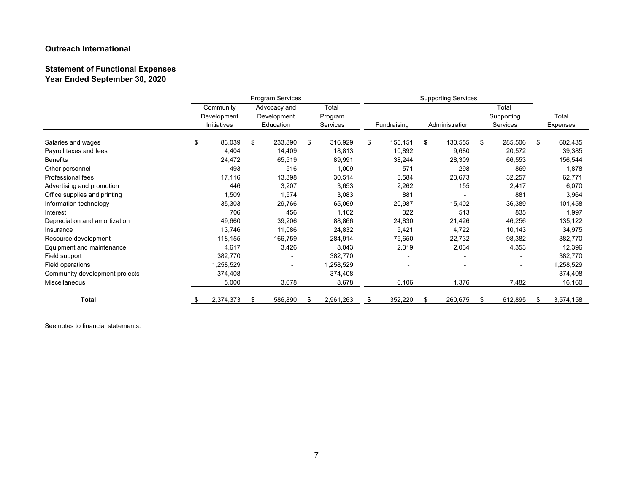# **Statement of Functional Expenses Year Ended September 30, 2020**

|                                |              |     | Program Services |    |           | <b>Supporting Services</b> |             |    |                |    |          |               |            |       |
|--------------------------------|--------------|-----|------------------|----|-----------|----------------------------|-------------|----|----------------|----|----------|---------------|------------|-------|
|                                | Community    |     | Advocacy and     |    | Total     |                            |             |    |                |    | Total    |               |            |       |
|                                | Development  |     | Development      |    | Program   |                            |             |    |                |    |          |               | Supporting | Total |
|                                | Initiatives  |     | Education        |    | Services  |                            | Fundraising |    | Administration |    | Services | Expenses      |            |       |
| Salaries and wages             | \$<br>83,039 | \$  | 233,890          | \$ | 316,929   | \$                         | 155,151     | \$ | 130,555        | \$ | 285,506  | \$<br>602,435 |            |       |
| Payroll taxes and fees         | 4,404        |     | 14,409           |    | 18,813    |                            | 10,892      |    | 9,680          |    | 20,572   | 39,385        |            |       |
| <b>Benefits</b>                | 24,472       |     | 65,519           |    | 89,991    |                            | 38,244      |    | 28,309         |    | 66,553   | 156,544       |            |       |
| Other personnel                | 493          |     | 516              |    | 1,009     |                            | 571         |    | 298            |    | 869      | 1,878         |            |       |
| Professional fees              | 17,116       |     | 13,398           |    | 30,514    |                            | 8,584       |    | 23,673         |    | 32,257   | 62,771        |            |       |
| Advertising and promotion      | 446          |     | 3,207            |    | 3,653     |                            | 2,262       |    | 155            |    | 2,417    | 6,070         |            |       |
| Office supplies and printing   | 1,509        |     | 1,574            |    | 3,083     |                            | 881         |    |                |    | 881      | 3,964         |            |       |
| Information technology         | 35,303       |     | 29,766           |    | 65,069    |                            | 20,987      |    | 15,402         |    | 36,389   | 101,458       |            |       |
| Interest                       | 706          |     | 456              |    | 1,162     |                            | 322         |    | 513            |    | 835      | 1,997         |            |       |
| Depreciation and amortization  | 49,660       |     | 39,206           |    | 88,866    |                            | 24,830      |    | 21,426         |    | 46,256   | 135,122       |            |       |
| Insurance                      | 13,746       |     | 11,086           |    | 24,832    |                            | 5,421       |    | 4,722          |    | 10,143   | 34,975        |            |       |
| Resource development           | 118,155      |     | 166,759          |    | 284,914   |                            | 75,650      |    | 22,732         |    | 98,382   | 382,770       |            |       |
| Equipment and maintenance      | 4,617        |     | 3,426            |    | 8,043     |                            | 2,319       |    | 2,034          |    | 4,353    | 12,396        |            |       |
| Field support                  | 382,770      |     |                  |    | 382,770   |                            |             |    |                |    |          | 382,770       |            |       |
| Field operations               | 1,258,529    |     |                  |    | 1,258,529 |                            |             |    |                |    |          | 1,258,529     |            |       |
| Community development projects | 374,408      |     |                  |    | 374,408   |                            |             |    |                |    |          | 374,408       |            |       |
| Miscellaneous                  | 5,000        |     | 3,678            |    | 8,678     |                            | 6,106       |    | 1,376          |    | 7,482    | 16,160        |            |       |
| <b>Total</b>                   | 2,374,373    | \$. | 586,890          | S  | 2,961,263 |                            | 352,220     | \$ | 260,675        |    | 612,895  | 3,574,158     |            |       |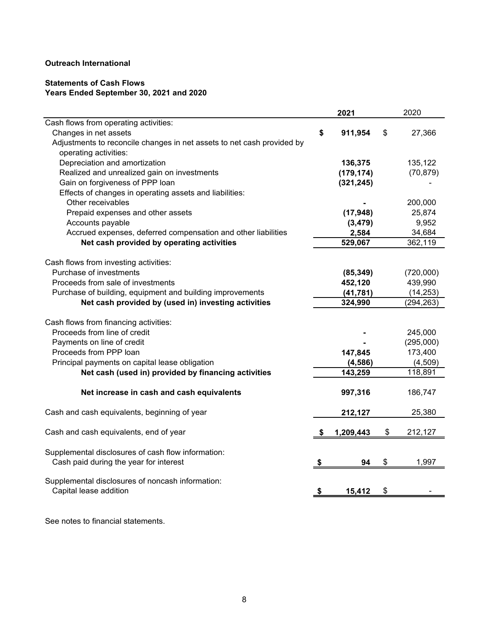# **Statements of Cash Flows Years Ended September 30, 2021 and 2020**

|                                                                        | 2021                 | 2020          |
|------------------------------------------------------------------------|----------------------|---------------|
| Cash flows from operating activities:                                  |                      |               |
| Changes in net assets                                                  | \$<br>911,954        | \$<br>27,366  |
| Adjustments to reconcile changes in net assets to net cash provided by |                      |               |
| operating activities:                                                  |                      |               |
| Depreciation and amortization                                          | 136,375              | 135,122       |
| Realized and unrealized gain on investments                            | (179, 174)           | (70, 879)     |
| Gain on forgiveness of PPP loan                                        | (321, 245)           |               |
| Effects of changes in operating assets and liabilities:                |                      |               |
| Other receivables                                                      |                      | 200,000       |
| Prepaid expenses and other assets                                      | (17, 948)            | 25,874        |
| Accounts payable                                                       | (3, 479)             | 9,952         |
| Accrued expenses, deferred compensation and other liabilities          | 2,584                | 34,684        |
| Net cash provided by operating activities                              | 529,067              | 362,119       |
|                                                                        |                      |               |
| Cash flows from investing activities:<br>Purchase of investments       |                      | (720,000)     |
| Proceeds from sale of investments                                      | (85, 349)<br>452,120 | 439,990       |
| Purchase of building, equipment and building improvements              | (41, 781)            | (14, 253)     |
| Net cash provided by (used in) investing activities                    | 324,990              | (294, 263)    |
|                                                                        |                      |               |
| Cash flows from financing activities:                                  |                      |               |
| Proceeds from line of credit                                           |                      | 245,000       |
| Payments on line of credit                                             |                      | (295,000)     |
| Proceeds from PPP loan                                                 | 147,845              | 173,400       |
| Principal payments on capital lease obligation                         | (4, 586)             | (4,509)       |
| Net cash (used in) provided by financing activities                    | 143,259              | 118,891       |
| Net increase in cash and cash equivalents                              | 997,316              | 186,747       |
|                                                                        |                      |               |
| Cash and cash equivalents, beginning of year                           | 212,127              | 25,380        |
| Cash and cash equivalents, end of year                                 | 1,209,443            | \$<br>212,127 |
|                                                                        |                      |               |
| Supplemental disclosures of cash flow information:                     |                      |               |
| Cash paid during the year for interest                                 | \$<br>94             | \$<br>1,997   |
| Supplemental disclosures of noncash information:                       |                      |               |
| Capital lease addition                                                 | 15,412               | \$            |
|                                                                        |                      |               |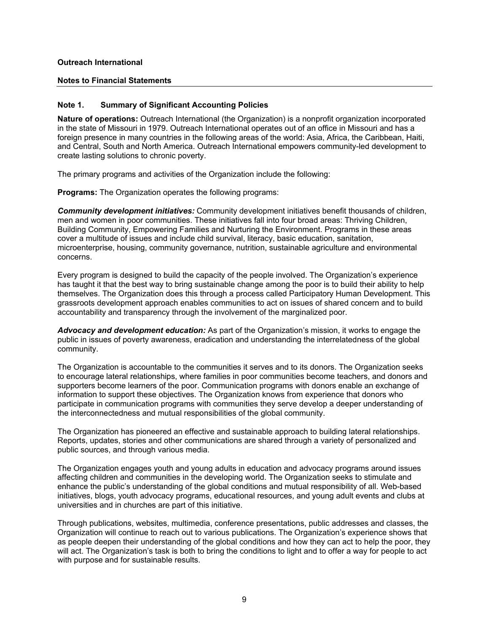#### **Notes to Financial Statements**

## **Note 1. Summary of Significant Accounting Policies**

**Nature of operations:** Outreach International (the Organization) is a nonprofit organization incorporated in the state of Missouri in 1979. Outreach International operates out of an office in Missouri and has a foreign presence in many countries in the following areas of the world: Asia, Africa, the Caribbean, Haiti, and Central, South and North America. Outreach International empowers community-led development to create lasting solutions to chronic poverty.

The primary programs and activities of the Organization include the following:

**Programs:** The Organization operates the following programs:

*Community development initiatives:* Community development initiatives benefit thousands of children, men and women in poor communities. These initiatives fall into four broad areas: Thriving Children, Building Community, Empowering Families and Nurturing the Environment. Programs in these areas cover a multitude of issues and include child survival, literacy, basic education, sanitation, microenterprise, housing, community governance, nutrition, sustainable agriculture and environmental concerns.

Every program is designed to build the capacity of the people involved. The Organization's experience has taught it that the best way to bring sustainable change among the poor is to build their ability to help themselves. The Organization does this through a process called Participatory Human Development. This grassroots development approach enables communities to act on issues of shared concern and to build accountability and transparency through the involvement of the marginalized poor.

*Advocacy and development education:* As part of the Organization's mission, it works to engage the public in issues of poverty awareness, eradication and understanding the interrelatedness of the global community.

The Organization is accountable to the communities it serves and to its donors. The Organization seeks to encourage lateral relationships, where families in poor communities become teachers, and donors and supporters become learners of the poor. Communication programs with donors enable an exchange of information to support these objectives. The Organization knows from experience that donors who participate in communication programs with communities they serve develop a deeper understanding of the interconnectedness and mutual responsibilities of the global community.

The Organization has pioneered an effective and sustainable approach to building lateral relationships. Reports, updates, stories and other communications are shared through a variety of personalized and public sources, and through various media.

The Organization engages youth and young adults in education and advocacy programs around issues affecting children and communities in the developing world. The Organization seeks to stimulate and enhance the public's understanding of the global conditions and mutual responsibility of all. Web-based initiatives, blogs, youth advocacy programs, educational resources, and young adult events and clubs at universities and in churches are part of this initiative.

Through publications, websites, multimedia, conference presentations, public addresses and classes, the Organization will continue to reach out to various publications. The Organization's experience shows that as people deepen their understanding of the global conditions and how they can act to help the poor, they will act. The Organization's task is both to bring the conditions to light and to offer a way for people to act with purpose and for sustainable results.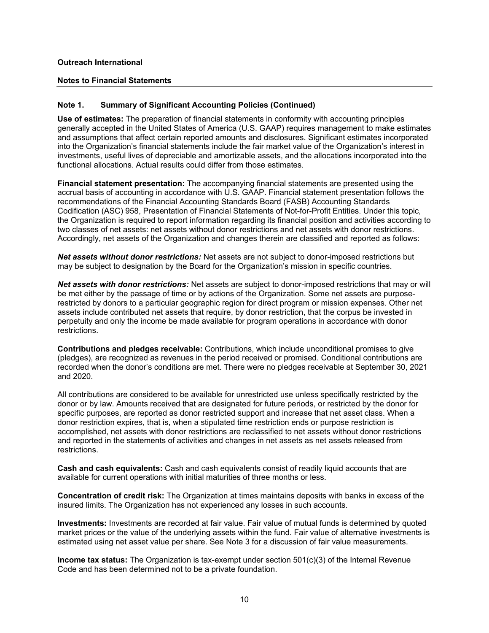#### **Notes to Financial Statements**

## **Note 1. Summary of Significant Accounting Policies (Continued)**

**Use of estimates:** The preparation of financial statements in conformity with accounting principles generally accepted in the United States of America (U.S. GAAP) requires management to make estimates and assumptions that affect certain reported amounts and disclosures. Significant estimates incorporated into the Organization's financial statements include the fair market value of the Organization's interest in investments, useful lives of depreciable and amortizable assets, and the allocations incorporated into the functional allocations. Actual results could differ from those estimates.

**Financial statement presentation:** The accompanying financial statements are presented using the accrual basis of accounting in accordance with U.S. GAAP. Financial statement presentation follows the recommendations of the Financial Accounting Standards Board (FASB) Accounting Standards Codification (ASC) 958, Presentation of Financial Statements of Not-for-Profit Entities. Under this topic, the Organization is required to report information regarding its financial position and activities according to two classes of net assets: net assets without donor restrictions and net assets with donor restrictions. Accordingly, net assets of the Organization and changes therein are classified and reported as follows:

*Net assets without donor restrictions:* Net assets are not subject to donor-imposed restrictions but may be subject to designation by the Board for the Organization's mission in specific countries.

*Net assets with donor restrictions:* Net assets are subject to donor-imposed restrictions that may or will be met either by the passage of time or by actions of the Organization. Some net assets are purposerestricted by donors to a particular geographic region for direct program or mission expenses. Other net assets include contributed net assets that require, by donor restriction, that the corpus be invested in perpetuity and only the income be made available for program operations in accordance with donor restrictions.

**Contributions and pledges receivable:** Contributions, which include unconditional promises to give (pledges), are recognized as revenues in the period received or promised. Conditional contributions are recorded when the donor's conditions are met. There were no pledges receivable at September 30, 2021 and 2020.

All contributions are considered to be available for unrestricted use unless specifically restricted by the donor or by law. Amounts received that are designated for future periods, or restricted by the donor for specific purposes, are reported as donor restricted support and increase that net asset class. When a donor restriction expires, that is, when a stipulated time restriction ends or purpose restriction is accomplished, net assets with donor restrictions are reclassified to net assets without donor restrictions and reported in the statements of activities and changes in net assets as net assets released from restrictions.

**Cash and cash equivalents:** Cash and cash equivalents consist of readily liquid accounts that are available for current operations with initial maturities of three months or less.

**Concentration of credit risk:** The Organization at times maintains deposits with banks in excess of the insured limits. The Organization has not experienced any losses in such accounts.

**Investments:** Investments are recorded at fair value. Fair value of mutual funds is determined by quoted market prices or the value of the underlying assets within the fund. Fair value of alternative investments is estimated using net asset value per share. See Note 3 for a discussion of fair value measurements.

**Income tax status:** The Organization is tax-exempt under section 501(c)(3) of the Internal Revenue Code and has been determined not to be a private foundation.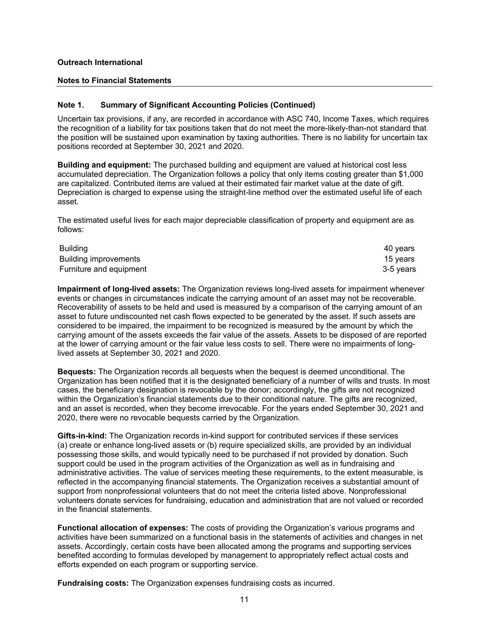#### **Notes to Financial Statements**

#### **Note 1. Summary of Significant Accounting Policies (Continued)**

Uncertain tax provisions, if any, are recorded in accordance with ASC 740, Income Taxes, which requires the recognition of a liability for tax positions taken that do not meet the more-likely-than-not standard that the position will be sustained upon examination by taxing authorities. There is no liability for uncertain tax positions recorded at September 30, 2021 and 2020.

**Building and equipment:** The purchased building and equipment are valued at historical cost less accumulated depreciation. The Organization follows a policy that only items costing greater than \$1,000 are capitalized. Contributed items are valued at their estimated fair market value at the date of gift. Depreciation is charged to expense using the straight-line method over the estimated useful life of each asset.

The estimated useful lives for each major depreciable classification of property and equipment are as follows:

| <b>Building</b>              | 40 vears  |
|------------------------------|-----------|
| <b>Building improvements</b> | 15 vears  |
| Furniture and equipment      | 3-5 vears |

**Impairment of long-lived assets:** The Organization reviews long-lived assets for impairment whenever events or changes in circumstances indicate the carrying amount of an asset may not be recoverable. Recoverability of assets to be held and used is measured by a comparison of the carrying amount of an asset to future undiscounted net cash flows expected to be generated by the asset. If such assets are considered to be impaired, the impairment to be recognized is measured by the amount by which the carrying amount of the assets exceeds the fair value of the assets. Assets to be disposed of are reported at the lower of carrying amount or the fair value less costs to sell. There were no impairments of longlived assets at September 30, 2021 and 2020.

**Bequests:** The Organization records all bequests when the bequest is deemed unconditional. The Organization has been notified that it is the designated beneficiary of a number of wills and trusts. In most cases, the beneficiary designation is revocable by the donor; accordingly, the gifts are not recognized within the Organization's financial statements due to their conditional nature. The gifts are recognized, and an asset is recorded, when they become irrevocable. For the years ended September 30, 2021 and 2020, there were no revocable bequests carried by the Organization.

**Gifts-in-kind:** The Organization records in-kind support for contributed services if these services (a) create or enhance long-lived assets or (b) require specialized skills, are provided by an individual possessing those skills, and would typically need to be purchased if not provided by donation. Such support could be used in the program activities of the Organization as well as in fundraising and administrative activities. The value of services meeting these requirements, to the extent measurable, is reflected in the accompanying financial statements. The Organization receives a substantial amount of support from nonprofessional volunteers that do not meet the criteria listed above. Nonprofessional volunteers donate services for fundraising, education and administration that are not valued or recorded in the financial statements.

**Functional allocation of expenses:** The costs of providing the Organization's various programs and activities have been summarized on a functional basis in the statements of activities and changes in net assets. Accordingly, certain costs have been allocated among the programs and supporting services benefited according to formulas developed by management to appropriately reflect actual costs and efforts expended on each program or supporting service.

**Fundraising costs:** The Organization expenses fundraising costs as incurred.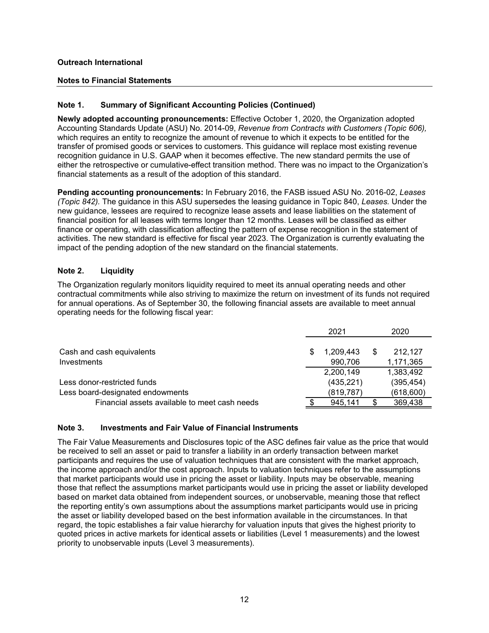## **Notes to Financial Statements**

# **Note 1. Summary of Significant Accounting Policies (Continued)**

**Newly adopted accounting pronouncements:** Effective October 1, 2020, the Organization adopted Accounting Standards Update (ASU) No. 2014-09, *Revenue from Contracts with Customers (Topic 606),*  which requires an entity to recognize the amount of revenue to which it expects to be entitled for the transfer of promised goods or services to customers. This guidance will replace most existing revenue recognition guidance in U.S. GAAP when it becomes effective. The new standard permits the use of either the retrospective or cumulative-effect transition method. There was no impact to the Organization's financial statements as a result of the adoption of this standard.

**Pending accounting pronouncements:** In February 2016, the FASB issued ASU No. 2016-02, *Leases (Topic 842).* The guidance in this ASU supersedes the leasing guidance in Topic 840, *Leases.* Under the new guidance, lessees are required to recognize lease assets and lease liabilities on the statement of financial position for all leases with terms longer than 12 months. Leases will be classified as either finance or operating, with classification affecting the pattern of expense recognition in the statement of activities. The new standard is effective for fiscal year 2023. The Organization is currently evaluating the impact of the pending adoption of the new standard on the financial statements.

## **Note 2. Liquidity**

The Organization regularly monitors liquidity required to meet its annual operating needs and other contractual commitments while also striving to maximize the return on investment of its funds not required for annual operations. As of September 30, the following financial assets are available to meet annual operating needs for the following fiscal year:

|                                               |   | 2021                 | 2020                 |
|-----------------------------------------------|---|----------------------|----------------------|
| Cash and cash equivalents<br>Investments      | S | 1,209,443<br>990,706 | 212,127<br>1,171,365 |
|                                               |   | 2,200,149            | 1,383,492            |
| Less donor-restricted funds                   |   | (435, 221)           | (395, 454)           |
| Less board-designated endowments              |   | (819, 787)           | (618, 600)           |
| Financial assets available to meet cash needs |   | 945,141              | 369,438              |

#### **Note 3. Investments and Fair Value of Financial Instruments**

The Fair Value Measurements and Disclosures topic of the ASC defines fair value as the price that would be received to sell an asset or paid to transfer a liability in an orderly transaction between market participants and requires the use of valuation techniques that are consistent with the market approach, the income approach and/or the cost approach. Inputs to valuation techniques refer to the assumptions that market participants would use in pricing the asset or liability. Inputs may be observable, meaning those that reflect the assumptions market participants would use in pricing the asset or liability developed based on market data obtained from independent sources, or unobservable, meaning those that reflect the reporting entity's own assumptions about the assumptions market participants would use in pricing the asset or liability developed based on the best information available in the circumstances. In that regard, the topic establishes a fair value hierarchy for valuation inputs that gives the highest priority to quoted prices in active markets for identical assets or liabilities (Level 1 measurements) and the lowest priority to unobservable inputs (Level 3 measurements).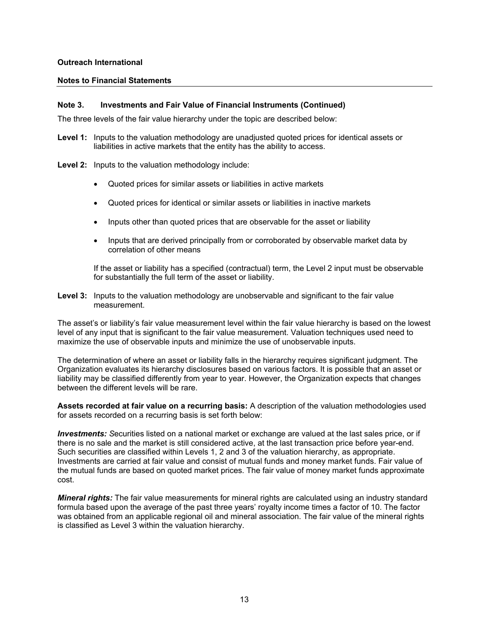#### **Notes to Financial Statements**

#### **Note 3. Investments and Fair Value of Financial Instruments (Continued)**

The three levels of the fair value hierarchy under the topic are described below:

- **Level 1:** Inputs to the valuation methodology are unadiusted quoted prices for identical assets or liabilities in active markets that the entity has the ability to access.
- **Level 2:** Inputs to the valuation methodology include:
	- Quoted prices for similar assets or liabilities in active markets
	- Quoted prices for identical or similar assets or liabilities in inactive markets
	- Inputs other than quoted prices that are observable for the asset or liability
	- Inputs that are derived principally from or corroborated by observable market data by correlation of other means

If the asset or liability has a specified (contractual) term, the Level 2 input must be observable for substantially the full term of the asset or liability.

**Level 3:** Inputs to the valuation methodology are unobservable and significant to the fair value measurement.

The asset's or liability's fair value measurement level within the fair value hierarchy is based on the lowest level of any input that is significant to the fair value measurement. Valuation techniques used need to maximize the use of observable inputs and minimize the use of unobservable inputs.

The determination of where an asset or liability falls in the hierarchy requires significant judgment. The Organization evaluates its hierarchy disclosures based on various factors. It is possible that an asset or liability may be classified differently from year to year. However, the Organization expects that changes between the different levels will be rare.

**Assets recorded at fair value on a recurring basis:** A description of the valuation methodologies used for assets recorded on a recurring basis is set forth below:

*Investments: S*ecurities listed on a national market or exchange are valued at the last sales price, or if there is no sale and the market is still considered active, at the last transaction price before year-end. Such securities are classified within Levels 1, 2 and 3 of the valuation hierarchy, as appropriate. Investments are carried at fair value and consist of mutual funds and money market funds. Fair value of the mutual funds are based on quoted market prices. The fair value of money market funds approximate cost.

*Mineral rights:* The fair value measurements for mineral rights are calculated using an industry standard formula based upon the average of the past three years' royalty income times a factor of 10. The factor was obtained from an applicable regional oil and mineral association. The fair value of the mineral rights is classified as Level 3 within the valuation hierarchy.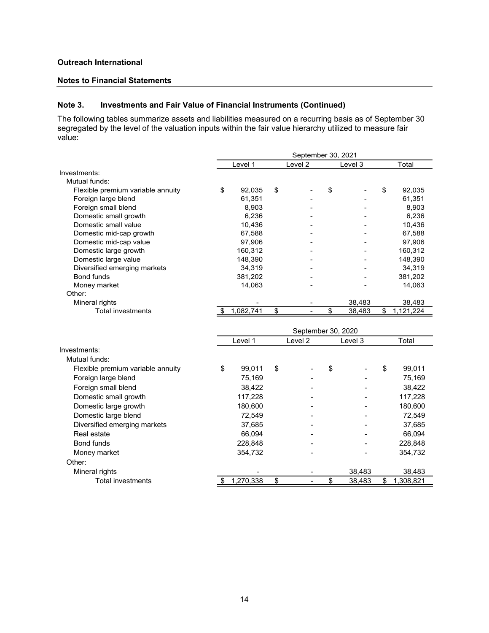#### **Notes to Financial Statements**

## **Note 3. Investments and Fair Value of Financial Instruments (Continued)**

The following tables summarize assets and liabilities measured on a recurring basis as of September 30 segregated by the level of the valuation inputs within the fair value hierarchy utilized to measure fair value:

|                                   | September 30, 2021 |           |    |                    |    |         |    |           |  |  |
|-----------------------------------|--------------------|-----------|----|--------------------|----|---------|----|-----------|--|--|
|                                   |                    | Level 1   |    | Level 2            |    | Level 3 |    | Total     |  |  |
| Investments:                      |                    |           |    |                    |    |         |    |           |  |  |
| Mutual funds:                     |                    |           |    |                    |    |         |    |           |  |  |
| Flexible premium variable annuity | \$                 | 92,035    | \$ |                    | \$ |         | \$ | 92,035    |  |  |
| Foreign large blend               |                    | 61,351    |    |                    |    |         |    | 61,351    |  |  |
| Foreign small blend               |                    | 8,903     |    |                    |    |         |    | 8,903     |  |  |
| Domestic small growth             |                    | 6,236     |    |                    |    |         |    | 6,236     |  |  |
| Domestic small value              |                    | 10,436    |    |                    |    |         |    | 10,436    |  |  |
| Domestic mid-cap growth           |                    | 67,588    |    |                    |    |         |    | 67,588    |  |  |
| Domestic mid-cap value            |                    | 97,906    |    |                    |    |         |    | 97,906    |  |  |
| Domestic large growth             |                    | 160,312   |    |                    |    |         |    | 160,312   |  |  |
| Domestic large value              |                    | 148,390   |    |                    |    |         |    | 148,390   |  |  |
| Diversified emerging markets      |                    | 34,319    |    |                    |    |         |    | 34,319    |  |  |
| <b>Bond funds</b>                 |                    | 381,202   |    |                    |    |         |    | 381,202   |  |  |
| Money market                      |                    | 14,063    |    |                    |    |         |    | 14,063    |  |  |
| Other:                            |                    |           |    |                    |    |         |    |           |  |  |
| Mineral rights                    |                    |           |    |                    |    | 38,483  |    | 38,483    |  |  |
| <b>Total investments</b>          | \$                 | 1,082,741 | \$ | $\overline{a}$     | \$ | 38,483  | \$ | 1,121,224 |  |  |
|                                   | September 30, 2020 |           |    |                    |    |         |    |           |  |  |
|                                   |                    | Level 1   |    | Level <sub>2</sub> |    | Level 3 |    | Total     |  |  |
| Investments:                      |                    |           |    |                    |    |         |    |           |  |  |
| Mutual funds:                     |                    |           |    |                    |    |         |    |           |  |  |
| Flexible premium variable annuity | \$                 | 99,011    | \$ |                    | \$ |         | \$ | 99,011    |  |  |
| Foreign large blend               |                    | 75,169    |    |                    |    |         |    | 75,169    |  |  |
| Foreign small blend               |                    | 38,422    |    |                    |    |         |    | 38,422    |  |  |
| Domestic small growth             |                    | 117,228   |    |                    |    |         |    | 117,228   |  |  |
| Domestic large growth             |                    | 180,600   |    |                    |    |         |    | 180,600   |  |  |
| Domestic large blend              |                    | 72,549    |    |                    |    |         |    | 72,549    |  |  |
| Diversified emerging markets      |                    | 37,685    |    |                    |    |         |    | 37,685    |  |  |
| Real estate                       |                    | 66,094    |    |                    |    |         |    | 66,094    |  |  |
|                                   |                    |           |    |                    |    |         |    |           |  |  |
| <b>Bond funds</b>                 |                    | 228,848   |    |                    |    |         |    | 228,848   |  |  |
| Money market                      |                    | 354,732   |    |                    |    |         |    | 354,732   |  |  |
| Other:                            |                    |           |    |                    |    |         |    |           |  |  |
| Mineral rights                    |                    |           |    |                    |    | 38,483  |    | 38,483    |  |  |
| <b>Total investments</b>          | \$                 | 1,270,338 | \$ | $\blacksquare$     | \$ | 38,483  | \$ | 1,308,821 |  |  |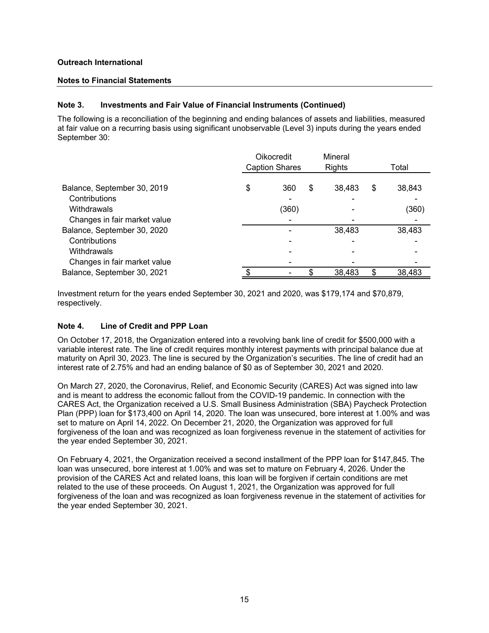#### **Notes to Financial Statements**

#### **Note 3. Investments and Fair Value of Financial Instruments (Continued)**

The following is a reconciliation of the beginning and ending balances of assets and liabilities, measured at fair value on a recurring basis using significant unobservable (Level 3) inputs during the years ended September 30:

|                              | Oikocredit            |       |               | Mineral |              |
|------------------------------|-----------------------|-------|---------------|---------|--------------|
|                              | <b>Caption Shares</b> |       | <b>Rights</b> | Total   |              |
| Balance, September 30, 2019  | \$                    | 360   | \$            | 38,483  | \$<br>38,843 |
| Contributions                |                       |       |               |         |              |
| Withdrawals                  |                       | (360) |               |         | (360)        |
| Changes in fair market value |                       |       |               |         |              |
| Balance, September 30, 2020  |                       |       |               | 38,483  | 38,483       |
| Contributions                |                       |       |               |         |              |
| Withdrawals                  |                       |       |               |         |              |
| Changes in fair market value |                       |       |               |         |              |
| Balance, September 30, 2021  |                       |       |               | 38,483  | 38,483       |

Investment return for the years ended September 30, 2021 and 2020, was \$179,174 and \$70,879, respectively.

#### **Note 4. Line of Credit and PPP Loan**

On October 17, 2018, the Organization entered into a revolving bank line of credit for \$500,000 with a variable interest rate. The line of credit requires monthly interest payments with principal balance due at maturity on April 30, 2023. The line is secured by the Organization's securities. The line of credit had an interest rate of 2.75% and had an ending balance of \$0 as of September 30, 2021 and 2020.

On March 27, 2020, the Coronavirus, Relief, and Economic Security (CARES) Act was signed into law and is meant to address the economic fallout from the COVID-19 pandemic. In connection with the CARES Act, the Organization received a U.S. Small Business Administration (SBA) Paycheck Protection Plan (PPP) loan for \$173,400 on April 14, 2020. The loan was unsecured, bore interest at 1.00% and was set to mature on April 14, 2022. On December 21, 2020, the Organization was approved for full forgiveness of the loan and was recognized as loan forgiveness revenue in the statement of activities for the year ended September 30, 2021.

On February 4, 2021, the Organization received a second installment of the PPP loan for \$147,845. The loan was unsecured, bore interest at 1.00% and was set to mature on February 4, 2026. Under the provision of the CARES Act and related loans, this loan will be forgiven if certain conditions are met related to the use of these proceeds. On August 1, 2021, the Organization was approved for full forgiveness of the loan and was recognized as loan forgiveness revenue in the statement of activities for the year ended September 30, 2021.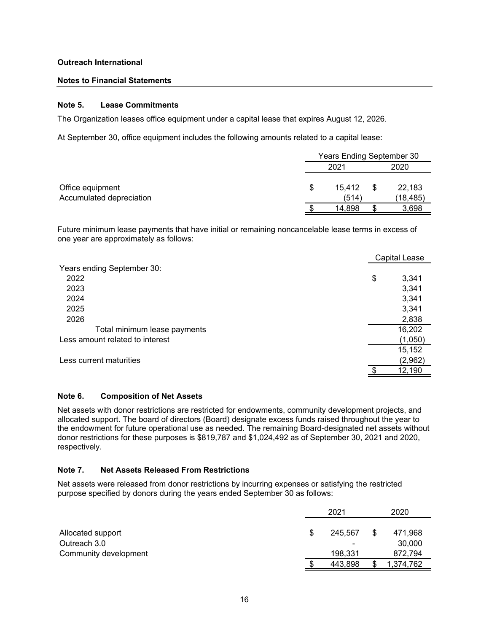## **Notes to Financial Statements**

#### **Note 5. Lease Commitments**

The Organization leases office equipment under a capital lease that expires August 12, 2026.

At September 30, office equipment includes the following amounts related to a capital lease:

|                          |    | Years Ending September 30 |      |          |  |  |  |
|--------------------------|----|---------------------------|------|----------|--|--|--|
|                          |    | 2021                      | 2020 |          |  |  |  |
|                          |    |                           |      |          |  |  |  |
| Office equipment         | S  | 15,412                    |      | 22,183   |  |  |  |
| Accumulated depreciation |    | (514)                     |      | (18,485) |  |  |  |
|                          | мD | 14.898                    |      | 3,698    |  |  |  |

Future minimum lease payments that have initial or remaining noncancelable lease terms in excess of one year are approximately as follows:

|                                 | Capital Lease |
|---------------------------------|---------------|
| Years ending September 30:      |               |
| 2022                            | \$<br>3,341   |
| 2023                            | 3,341         |
| 2024                            | 3,341         |
| 2025                            | 3,341         |
| 2026                            | 2,838         |
| Total minimum lease payments    | 16,202        |
| Less amount related to interest | (1,050)       |
|                                 | 15,152        |
| Less current maturities         | (2,962)       |
|                                 | 12,190        |
|                                 |               |

#### **Note 6. Composition of Net Assets**

Net assets with donor restrictions are restricted for endowments, community development projects, and allocated support. The board of directors (Board) designate excess funds raised throughout the year to the endowment for future operational use as needed. The remaining Board-designated net assets without donor restrictions for these purposes is \$819,787 and \$1,024,492 as of September 30, 2021 and 2020, respectively.

# **Note 7. Net Assets Released From Restrictions**

Net assets were released from donor restrictions by incurring expenses or satisfying the restricted purpose specified by donors during the years ended September 30 as follows:

|                       | 2021                     | 2020      |
|-----------------------|--------------------------|-----------|
| Allocated support     | \$<br>245,567            | 471,968   |
| Outreach 3.0          | $\overline{\phantom{0}}$ | 30,000    |
| Community development | 198,331                  | 872.794   |
|                       | 443.898                  | 1,374,762 |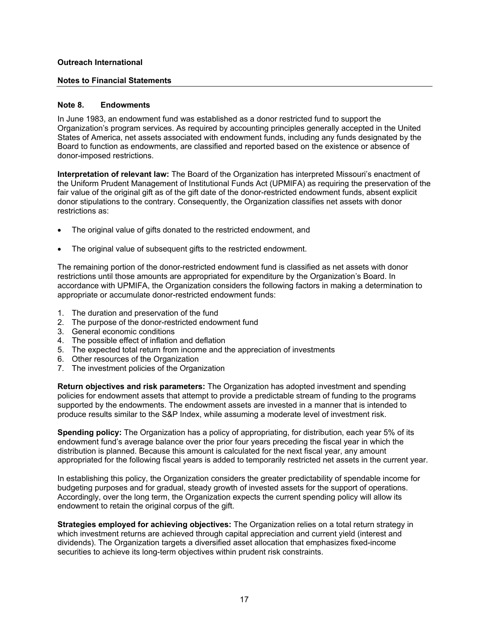#### **Notes to Financial Statements**

#### **Note 8. Endowments**

In June 1983, an endowment fund was established as a donor restricted fund to support the Organization's program services. As required by accounting principles generally accepted in the United States of America, net assets associated with endowment funds, including any funds designated by the Board to function as endowments, are classified and reported based on the existence or absence of donor-imposed restrictions.

**Interpretation of relevant law:** The Board of the Organization has interpreted Missouri's enactment of the Uniform Prudent Management of Institutional Funds Act (UPMIFA) as requiring the preservation of the fair value of the original gift as of the gift date of the donor-restricted endowment funds, absent explicit donor stipulations to the contrary. Consequently, the Organization classifies net assets with donor restrictions as:

- The original value of gifts donated to the restricted endowment, and
- The original value of subsequent gifts to the restricted endowment.

The remaining portion of the donor-restricted endowment fund is classified as net assets with donor restrictions until those amounts are appropriated for expenditure by the Organization's Board. In accordance with UPMIFA, the Organization considers the following factors in making a determination to appropriate or accumulate donor-restricted endowment funds:

- 1. The duration and preservation of the fund
- 2. The purpose of the donor-restricted endowment fund
- 3. General economic conditions
- 4. The possible effect of inflation and deflation
- 5. The expected total return from income and the appreciation of investments
- 6. Other resources of the Organization
- 7. The investment policies of the Organization

**Return objectives and risk parameters:** The Organization has adopted investment and spending policies for endowment assets that attempt to provide a predictable stream of funding to the programs supported by the endowments. The endowment assets are invested in a manner that is intended to produce results similar to the S&P Index, while assuming a moderate level of investment risk.

**Spending policy:** The Organization has a policy of appropriating, for distribution, each year 5% of its endowment fund's average balance over the prior four years preceding the fiscal year in which the distribution is planned. Because this amount is calculated for the next fiscal year, any amount appropriated for the following fiscal years is added to temporarily restricted net assets in the current year.

In establishing this policy, the Organization considers the greater predictability of spendable income for budgeting purposes and for gradual, steady growth of invested assets for the support of operations. Accordingly, over the long term, the Organization expects the current spending policy will allow its endowment to retain the original corpus of the gift.

**Strategies employed for achieving objectives:** The Organization relies on a total return strategy in which investment returns are achieved through capital appreciation and current yield (interest and dividends). The Organization targets a diversified asset allocation that emphasizes fixed-income securities to achieve its long-term objectives within prudent risk constraints.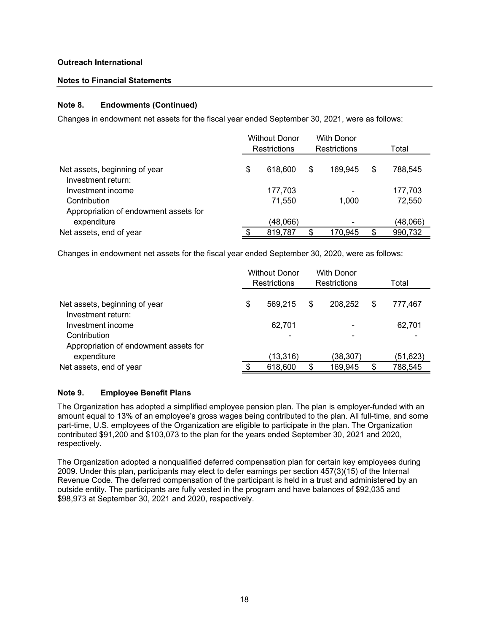## **Notes to Financial Statements**

#### **Note 8. Endowments (Continued)**

Changes in endowment net assets for the fiscal year ended September 30, 2021, were as follows:

|                                                       | <b>Without Donor</b><br>Restrictions |    | With Donor<br>Restrictions |   | Total               |
|-------------------------------------------------------|--------------------------------------|----|----------------------------|---|---------------------|
| Net assets, beginning of year<br>Investment return:   | \$<br>618,600                        | \$ | 169.945                    | S | 788,545             |
| Investment income                                     | 177,703                              |    |                            |   | 177,703             |
| Contribution<br>Appropriation of endowment assets for | 71,550                               |    | 1.000                      |   | 72,550              |
| expenditure<br>Net assets, end of year                | (48,066)<br>819,787                  | ß. | 170,945                    |   | (48,066)<br>990,732 |
|                                                       |                                      |    |                            |   |                     |

Changes in endowment net assets for the fiscal year ended September 30, 2020, were as follows:

|                                                      | <b>Without Donor</b><br><b>Restrictions</b> |    | <b>With Donor</b><br><b>Restrictions</b> | Total         |
|------------------------------------------------------|---------------------------------------------|----|------------------------------------------|---------------|
| Net assets, beginning of year<br>Investment return:  | \$<br>569.215                               | \$ | 208,252                                  | \$<br>777.467 |
| Investment income<br>Contribution                    | 62,701                                      |    |                                          | 62,701        |
| Appropriation of endowment assets for<br>expenditure | $\blacksquare$<br>(13,316)                  |    | (38, 307)                                | (51, 623)     |
| Net assets, end of year                              | 618,600                                     | S  | 169,945                                  | 788,545       |

#### **Note 9. Employee Benefit Plans**

The Organization has adopted a simplified employee pension plan. The plan is employer-funded with an amount equal to 13% of an employee's gross wages being contributed to the plan. All full-time, and some part-time, U.S. employees of the Organization are eligible to participate in the plan. The Organization contributed \$91,200 and \$103,073 to the plan for the years ended September 30, 2021 and 2020, respectively.

The Organization adopted a nonqualified deferred compensation plan for certain key employees during 2009. Under this plan, participants may elect to defer earnings per section 457(3)(15) of the Internal Revenue Code. The deferred compensation of the participant is held in a trust and administered by an outside entity. The participants are fully vested in the program and have balances of \$92,035 and \$98,973 at September 30, 2021 and 2020, respectively.